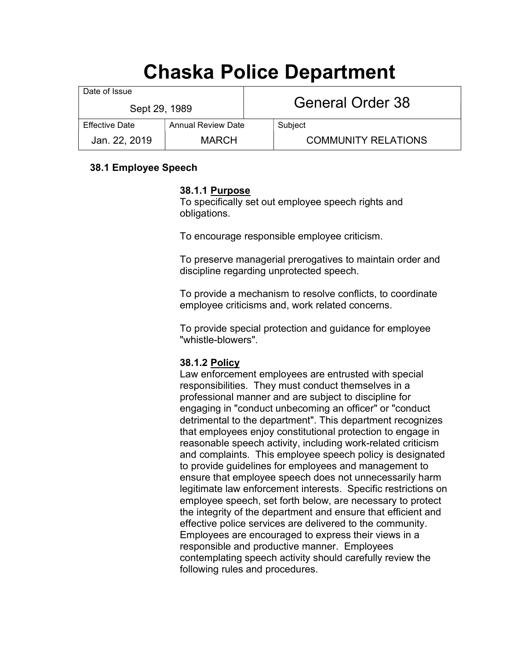# Chaska Police Department

| Date of Issue         |                           |                  |                            |
|-----------------------|---------------------------|------------------|----------------------------|
| Sept 29, 1989         |                           | General Order 38 |                            |
| <b>Effective Date</b> | <b>Annual Review Date</b> |                  | Subject                    |
| Jan. 22, 2019         | <b>MARCH</b>              |                  | <b>COMMUNITY RELATIONS</b> |

# 38.1 Employee Speech

#### 38.1.1 Purpose

To specifically set out employee speech rights and obligations.

To encourage responsible employee criticism.

To preserve managerial prerogatives to maintain order and discipline regarding unprotected speech.

To provide a mechanism to resolve conflicts, to coordinate employee criticisms and, work related concerns.

To provide special protection and guidance for employee "whistle-blowers".

## 38.1.2 Policy

Law enforcement employees are entrusted with special responsibilities. They must conduct themselves in a professional manner and are subject to discipline for engaging in "conduct unbecoming an officer" or "conduct detrimental to the department". This department recognizes that employees enjoy constitutional protection to engage in reasonable speech activity, including work-related criticism and complaints. This employee speech policy is designated to provide guidelines for employees and management to ensure that employee speech does not unnecessarily harm legitimate law enforcement interests. Specific restrictions on employee speech, set forth below, are necessary to protect the integrity of the department and ensure that efficient and effective police services are delivered to the community. Employees are encouraged to express their views in a responsible and productive manner. Employees contemplating speech activity should carefully review the following rules and procedures.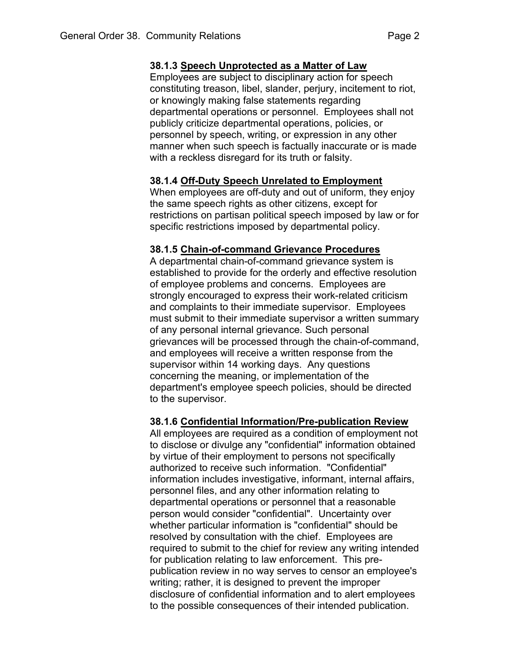Employees are subject to disciplinary action for speech constituting treason, libel, slander, perjury, incitement to riot, or knowingly making false statements regarding departmental operations or personnel. Employees shall not publicly criticize departmental operations, policies, or personnel by speech, writing, or expression in any other manner when such speech is factually inaccurate or is made with a reckless disregard for its truth or falsity.

# 38.1.4 Off-Duty Speech Unrelated to Employment

When employees are off-duty and out of uniform, they enjoy the same speech rights as other citizens, except for restrictions on partisan political speech imposed by law or for specific restrictions imposed by departmental policy.

# 38.1.5 Chain-of-command Grievance Procedures

A departmental chain-of-command grievance system is established to provide for the orderly and effective resolution of employee problems and concerns. Employees are strongly encouraged to express their work-related criticism and complaints to their immediate supervisor. Employees must submit to their immediate supervisor a written summary of any personal internal grievance. Such personal grievances will be processed through the chain-of-command, and employees will receive a written response from the supervisor within 14 working days. Any questions concerning the meaning, or implementation of the department's employee speech policies, should be directed to the supervisor.

## 38.1.6 Confidential Information/Pre-publication Review

All employees are required as a condition of employment not to disclose or divulge any "confidential" information obtained by virtue of their employment to persons not specifically authorized to receive such information. "Confidential" information includes investigative, informant, internal affairs, personnel files, and any other information relating to departmental operations or personnel that a reasonable person would consider "confidential". Uncertainty over whether particular information is "confidential" should be resolved by consultation with the chief. Employees are required to submit to the chief for review any writing intended for publication relating to law enforcement. This prepublication review in no way serves to censor an employee's writing; rather, it is designed to prevent the improper disclosure of confidential information and to alert employees to the possible consequences of their intended publication.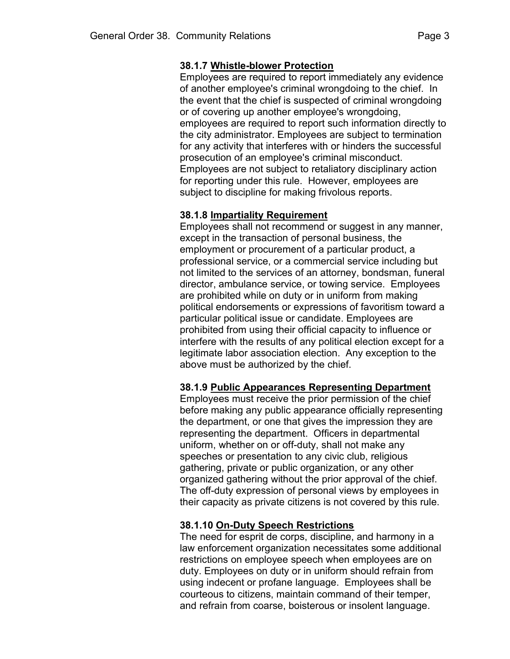## 38.1.7 Whistle-blower Protection

Employees are required to report immediately any evidence of another employee's criminal wrongdoing to the chief. In the event that the chief is suspected of criminal wrongdoing or of covering up another employee's wrongdoing, employees are required to report such information directly to the city administrator. Employees are subject to termination for any activity that interferes with or hinders the successful prosecution of an employee's criminal misconduct. Employees are not subject to retaliatory disciplinary action for reporting under this rule. However, employees are subject to discipline for making frivolous reports.

# 38.1.8 Impartiality Requirement

Employees shall not recommend or suggest in any manner, except in the transaction of personal business, the employment or procurement of a particular product, a professional service, or a commercial service including but not limited to the services of an attorney, bondsman, funeral director, ambulance service, or towing service. Employees are prohibited while on duty or in uniform from making political endorsements or expressions of favoritism toward a particular political issue or candidate. Employees are prohibited from using their official capacity to influence or interfere with the results of any political election except for a legitimate labor association election. Any exception to the above must be authorized by the chief.

## 38.1.9 Public Appearances Representing Department

Employees must receive the prior permission of the chief before making any public appearance officially representing the department, or one that gives the impression they are representing the department. Officers in departmental uniform, whether on or off-duty, shall not make any speeches or presentation to any civic club, religious gathering, private or public organization, or any other organized gathering without the prior approval of the chief. The off-duty expression of personal views by employees in their capacity as private citizens is not covered by this rule.

# 38.1.10 On-Duty Speech Restrictions

The need for esprit de corps, discipline, and harmony in a law enforcement organization necessitates some additional restrictions on employee speech when employees are on duty. Employees on duty or in uniform should refrain from using indecent or profane language. Employees shall be courteous to citizens, maintain command of their temper, and refrain from coarse, boisterous or insolent language.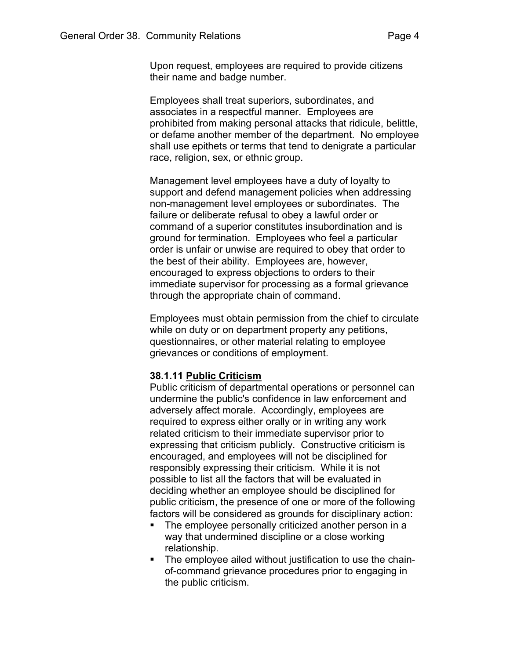Employees shall treat superiors, subordinates, and associates in a respectful manner. Employees are prohibited from making personal attacks that ridicule, belittle, or defame another member of the department. No employee shall use epithets or terms that tend to denigrate a particular race, religion, sex, or ethnic group.

Management level employees have a duty of loyalty to support and defend management policies when addressing non-management level employees or subordinates. The failure or deliberate refusal to obey a lawful order or command of a superior constitutes insubordination and is ground for termination. Employees who feel a particular order is unfair or unwise are required to obey that order to the best of their ability. Employees are, however, encouraged to express objections to orders to their immediate supervisor for processing as a formal grievance through the appropriate chain of command.

Employees must obtain permission from the chief to circulate while on duty or on department property any petitions, questionnaires, or other material relating to employee grievances or conditions of employment.

## 38.1.11 Public Criticism

Public criticism of departmental operations or personnel can undermine the public's confidence in law enforcement and adversely affect morale. Accordingly, employees are required to express either orally or in writing any work related criticism to their immediate supervisor prior to expressing that criticism publicly. Constructive criticism is encouraged, and employees will not be disciplined for responsibly expressing their criticism. While it is not possible to list all the factors that will be evaluated in deciding whether an employee should be disciplined for public criticism, the presence of one or more of the following factors will be considered as grounds for disciplinary action:

- The employee personally criticized another person in a way that undermined discipline or a close working relationship.
- **The employee ailed without justification to use the chain**of-command grievance procedures prior to engaging in the public criticism.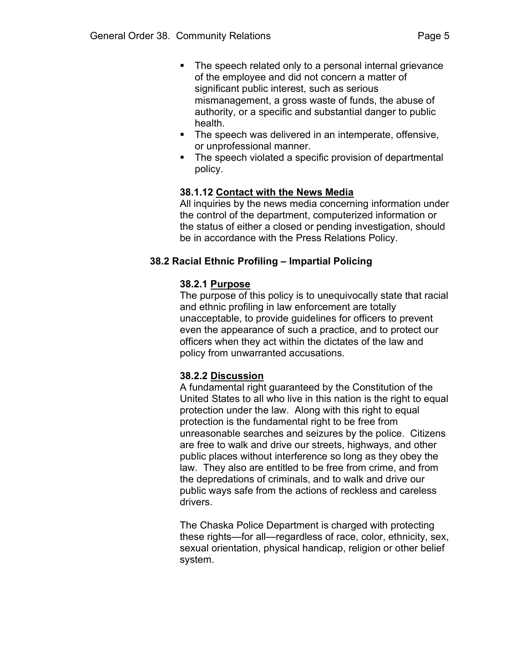- The speech related only to a personal internal grievance of the employee and did not concern a matter of significant public interest, such as serious mismanagement, a gross waste of funds, the abuse of authority, or a specific and substantial danger to public health.
- The speech was delivered in an intemperate, offensive, or unprofessional manner.
- The speech violated a specific provision of departmental policy.

# 38.1.12 Contact with the News Media

All inquiries by the news media concerning information under the control of the department, computerized information or the status of either a closed or pending investigation, should be in accordance with the Press Relations Policy.

# 38.2 Racial Ethnic Profiling – Impartial Policing

# 38.2.1 Purpose

The purpose of this policy is to unequivocally state that racial and ethnic profiling in law enforcement are totally unacceptable, to provide guidelines for officers to prevent even the appearance of such a practice, and to protect our officers when they act within the dictates of the law and policy from unwarranted accusations.

# 38.2.2 Discussion

A fundamental right guaranteed by the Constitution of the United States to all who live in this nation is the right to equal protection under the law. Along with this right to equal protection is the fundamental right to be free from unreasonable searches and seizures by the police. Citizens are free to walk and drive our streets, highways, and other public places without interference so long as they obey the law. They also are entitled to be free from crime, and from the depredations of criminals, and to walk and drive our public ways safe from the actions of reckless and careless drivers.

The Chaska Police Department is charged with protecting these rights—for all—regardless of race, color, ethnicity, sex, sexual orientation, physical handicap, religion or other belief system.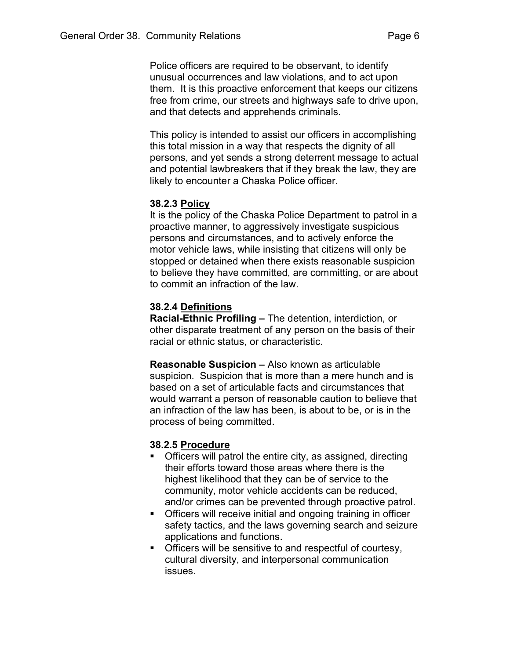Police officers are required to be observant, to identify unusual occurrences and law violations, and to act upon them. It is this proactive enforcement that keeps our citizens free from crime, our streets and highways safe to drive upon, and that detects and apprehends criminals.

This policy is intended to assist our officers in accomplishing this total mission in a way that respects the dignity of all persons, and yet sends a strong deterrent message to actual and potential lawbreakers that if they break the law, they are likely to encounter a Chaska Police officer.

## 38.2.3 Policy

It is the policy of the Chaska Police Department to patrol in a proactive manner, to aggressively investigate suspicious persons and circumstances, and to actively enforce the motor vehicle laws, while insisting that citizens will only be stopped or detained when there exists reasonable suspicion to believe they have committed, are committing, or are about to commit an infraction of the law.

#### 38.2.4 Definitions

Racial-Ethnic Profiling – The detention, interdiction, or other disparate treatment of any person on the basis of their racial or ethnic status, or characteristic.

Reasonable Suspicion – Also known as articulable suspicion. Suspicion that is more than a mere hunch and is based on a set of articulable facts and circumstances that would warrant a person of reasonable caution to believe that an infraction of the law has been, is about to be, or is in the process of being committed.

#### 38.2.5 Procedure

- **Officers will patrol the entire city, as assigned, directing** their efforts toward those areas where there is the highest likelihood that they can be of service to the community, motor vehicle accidents can be reduced, and/or crimes can be prevented through proactive patrol.
- Officers will receive initial and ongoing training in officer safety tactics, and the laws governing search and seizure applications and functions.
- **Officers will be sensitive to and respectful of courtesy,** cultural diversity, and interpersonal communication issues.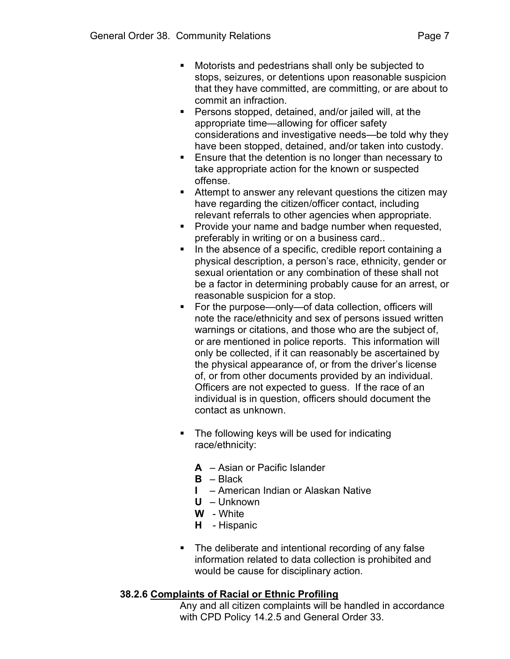- Motorists and pedestrians shall only be subjected to stops, seizures, or detentions upon reasonable suspicion that they have committed, are committing, or are about to commit an infraction.
- Persons stopped, detained, and/or jailed will, at the appropriate time—allowing for officer safety considerations and investigative needs—be told why they have been stopped, detained, and/or taken into custody.
- **Ensure that the detention is no longer than necessary to** take appropriate action for the known or suspected offense.
- **Attempt to answer any relevant questions the citizen may** have regarding the citizen/officer contact, including relevant referrals to other agencies when appropriate.
- **Provide your name and badge number when requested,** preferably in writing or on a business card..
- In the absence of a specific, credible report containing a physical description, a person's race, ethnicity, gender or sexual orientation or any combination of these shall not be a factor in determining probably cause for an arrest, or reasonable suspicion for a stop.
- For the purpose—only—of data collection, officers will note the race/ethnicity and sex of persons issued written warnings or citations, and those who are the subject of, or are mentioned in police reports. This information will only be collected, if it can reasonably be ascertained by the physical appearance of, or from the driver's license of, or from other documents provided by an individual. Officers are not expected to guess. If the race of an individual is in question, officers should document the contact as unknown.
- **The following keys will be used for indicating** race/ethnicity:
	- A Asian or Pacific Islander
	- $B Black$
	- I American Indian or Alaskan Native
	- U Unknown
	- W White
	- H Hispanic
- The deliberate and intentional recording of any false information related to data collection is prohibited and would be cause for disciplinary action.

# 38.2.6 Complaints of Racial or Ethnic Profiling

Any and all citizen complaints will be handled in accordance with CPD Policy 14.2.5 and General Order 33.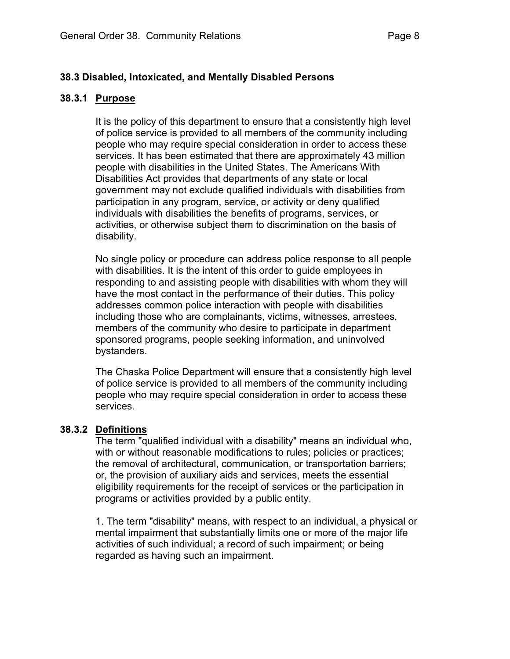# 38.3 Disabled, Intoxicated, and Mentally Disabled Persons

#### 38.3.1 Purpose

It is the policy of this department to ensure that a consistently high level of police service is provided to all members of the community including people who may require special consideration in order to access these services. It has been estimated that there are approximately 43 million people with disabilities in the United States. The Americans With Disabilities Act provides that departments of any state or local government may not exclude qualified individuals with disabilities from participation in any program, service, or activity or deny qualified individuals with disabilities the benefits of programs, services, or activities, or otherwise subject them to discrimination on the basis of disability.

No single policy or procedure can address police response to all people with disabilities. It is the intent of this order to guide employees in responding to and assisting people with disabilities with whom they will have the most contact in the performance of their duties. This policy addresses common police interaction with people with disabilities including those who are complainants, victims, witnesses, arrestees, members of the community who desire to participate in department sponsored programs, people seeking information, and uninvolved bystanders.

The Chaska Police Department will ensure that a consistently high level of police service is provided to all members of the community including people who may require special consideration in order to access these services.

## 38.3.2 Definitions

The term "qualified individual with a disability" means an individual who, with or without reasonable modifications to rules; policies or practices; the removal of architectural, communication, or transportation barriers; or, the provision of auxiliary aids and services, meets the essential eligibility requirements for the receipt of services or the participation in programs or activities provided by a public entity.

1. The term "disability" means, with respect to an individual, a physical or mental impairment that substantially limits one or more of the major life activities of such individual; a record of such impairment; or being regarded as having such an impairment.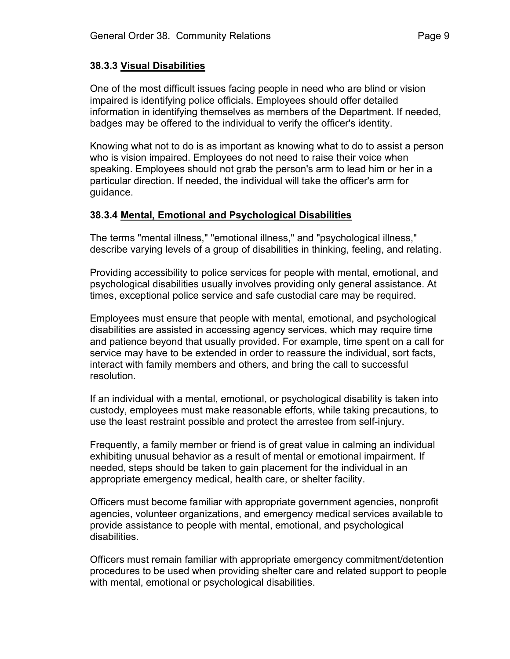## 38.3.3 Visual Disabilities

One of the most difficult issues facing people in need who are blind or vision impaired is identifying police officials. Employees should offer detailed information in identifying themselves as members of the Department. If needed, badges may be offered to the individual to verify the officer's identity.

Knowing what not to do is as important as knowing what to do to assist a person who is vision impaired. Employees do not need to raise their voice when speaking. Employees should not grab the person's arm to lead him or her in a particular direction. If needed, the individual will take the officer's arm for guidance.

## 38.3.4 Mental, Emotional and Psychological Disabilities

The terms "mental illness," "emotional illness," and "psychological illness," describe varying levels of a group of disabilities in thinking, feeling, and relating.

Providing accessibility to police services for people with mental, emotional, and psychological disabilities usually involves providing only general assistance. At times, exceptional police service and safe custodial care may be required.

Employees must ensure that people with mental, emotional, and psychological disabilities are assisted in accessing agency services, which may require time and patience beyond that usually provided. For example, time spent on a call for service may have to be extended in order to reassure the individual, sort facts, interact with family members and others, and bring the call to successful resolution.

If an individual with a mental, emotional, or psychological disability is taken into custody, employees must make reasonable efforts, while taking precautions, to use the least restraint possible and protect the arrestee from self-injury.

Frequently, a family member or friend is of great value in calming an individual exhibiting unusual behavior as a result of mental or emotional impairment. If needed, steps should be taken to gain placement for the individual in an appropriate emergency medical, health care, or shelter facility.

Officers must become familiar with appropriate government agencies, nonprofit agencies, volunteer organizations, and emergency medical services available to provide assistance to people with mental, emotional, and psychological disabilities.

Officers must remain familiar with appropriate emergency commitment/detention procedures to be used when providing shelter care and related support to people with mental, emotional or psychological disabilities.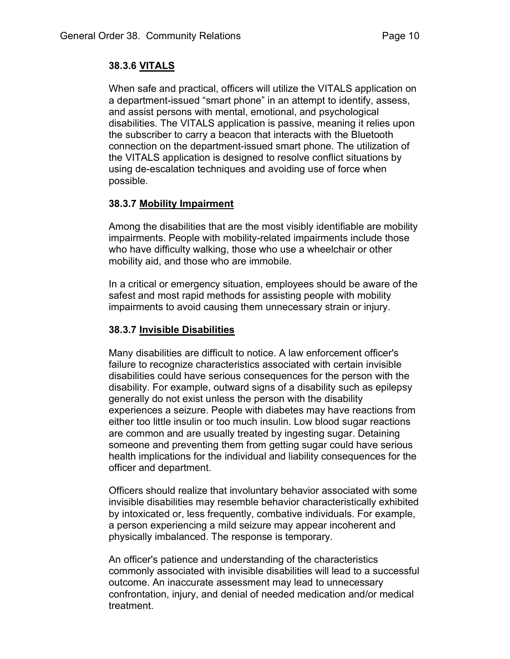# 38.3.6 VITALS

When safe and practical, officers will utilize the VITALS application on a department-issued "smart phone" in an attempt to identify, assess, and assist persons with mental, emotional, and psychological disabilities. The VITALS application is passive, meaning it relies upon the subscriber to carry a beacon that interacts with the Bluetooth connection on the department-issued smart phone. The utilization of the VITALS application is designed to resolve conflict situations by using de-escalation techniques and avoiding use of force when possible.

# 38.3.7 Mobility Impairment

Among the disabilities that are the most visibly identifiable are mobility impairments. People with mobility-related impairments include those who have difficulty walking, those who use a wheelchair or other mobility aid, and those who are immobile.

In a critical or emergency situation, employees should be aware of the safest and most rapid methods for assisting people with mobility impairments to avoid causing them unnecessary strain or injury.

# 38.3.7 Invisible Disabilities

Many disabilities are difficult to notice. A law enforcement officer's failure to recognize characteristics associated with certain invisible disabilities could have serious consequences for the person with the disability. For example, outward signs of a disability such as epilepsy generally do not exist unless the person with the disability experiences a seizure. People with diabetes may have reactions from either too little insulin or too much insulin. Low blood sugar reactions are common and are usually treated by ingesting sugar. Detaining someone and preventing them from getting sugar could have serious health implications for the individual and liability consequences for the officer and department.

Officers should realize that involuntary behavior associated with some invisible disabilities may resemble behavior characteristically exhibited by intoxicated or, less frequently, combative individuals. For example, a person experiencing a mild seizure may appear incoherent and physically imbalanced. The response is temporary.

An officer's patience and understanding of the characteristics commonly associated with invisible disabilities will lead to a successful outcome. An inaccurate assessment may lead to unnecessary confrontation, injury, and denial of needed medication and/or medical treatment.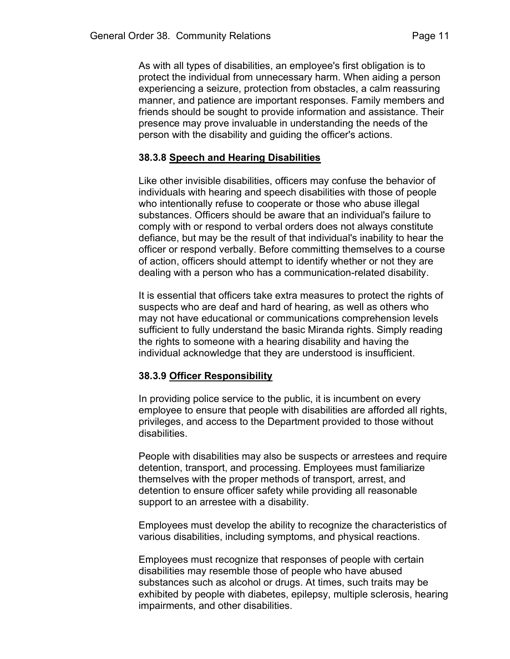As with all types of disabilities, an employee's first obligation is to protect the individual from unnecessary harm. When aiding a person experiencing a seizure, protection from obstacles, a calm reassuring manner, and patience are important responses. Family members and friends should be sought to provide information and assistance. Their presence may prove invaluable in understanding the needs of the person with the disability and guiding the officer's actions.

# 38.3.8 Speech and Hearing Disabilities

Like other invisible disabilities, officers may confuse the behavior of individuals with hearing and speech disabilities with those of people who intentionally refuse to cooperate or those who abuse illegal substances. Officers should be aware that an individual's failure to comply with or respond to verbal orders does not always constitute defiance, but may be the result of that individual's inability to hear the officer or respond verbally. Before committing themselves to a course of action, officers should attempt to identify whether or not they are dealing with a person who has a communication-related disability.

It is essential that officers take extra measures to protect the rights of suspects who are deaf and hard of hearing, as well as others who may not have educational or communications comprehension levels sufficient to fully understand the basic Miranda rights. Simply reading the rights to someone with a hearing disability and having the individual acknowledge that they are understood is insufficient.

# 38.3.9 Officer Responsibility

In providing police service to the public, it is incumbent on every employee to ensure that people with disabilities are afforded all rights, privileges, and access to the Department provided to those without disabilities.

People with disabilities may also be suspects or arrestees and require detention, transport, and processing. Employees must familiarize themselves with the proper methods of transport, arrest, and detention to ensure officer safety while providing all reasonable support to an arrestee with a disability.

Employees must develop the ability to recognize the characteristics of various disabilities, including symptoms, and physical reactions.

Employees must recognize that responses of people with certain disabilities may resemble those of people who have abused substances such as alcohol or drugs. At times, such traits may be exhibited by people with diabetes, epilepsy, multiple sclerosis, hearing impairments, and other disabilities.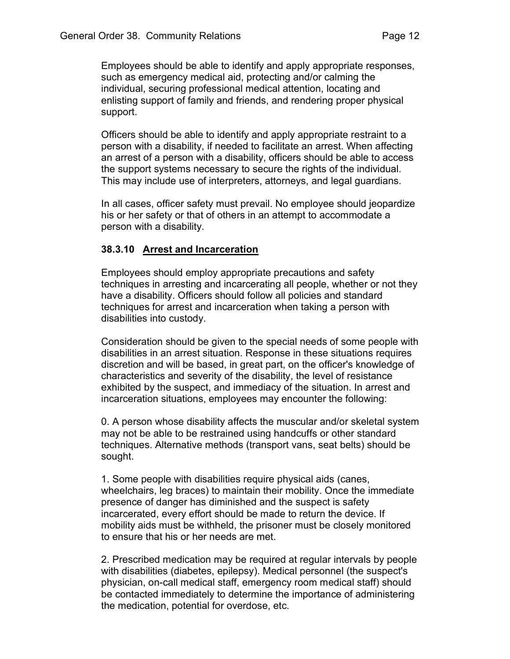support.

Officers should be able to identify and apply appropriate restraint to a person with a disability, if needed to facilitate an arrest. When affecting an arrest of a person with a disability, officers should be able to access the support systems necessary to secure the rights of the individual. This may include use of interpreters, attorneys, and legal guardians.

In all cases, officer safety must prevail. No employee should jeopardize his or her safety or that of others in an attempt to accommodate a person with a disability.

# 38.3.10 Arrest and Incarceration

Employees should employ appropriate precautions and safety techniques in arresting and incarcerating all people, whether or not they have a disability. Officers should follow all policies and standard techniques for arrest and incarceration when taking a person with disabilities into custody.

Consideration should be given to the special needs of some people with disabilities in an arrest situation. Response in these situations requires discretion and will be based, in great part, on the officer's knowledge of characteristics and severity of the disability, the level of resistance exhibited by the suspect, and immediacy of the situation. In arrest and incarceration situations, employees may encounter the following:

0. A person whose disability affects the muscular and/or skeletal system may not be able to be restrained using handcuffs or other standard techniques. Alternative methods (transport vans, seat belts) should be sought.

1. Some people with disabilities require physical aids (canes, wheelchairs, leg braces) to maintain their mobility. Once the immediate presence of danger has diminished and the suspect is safety incarcerated, every effort should be made to return the device. If mobility aids must be withheld, the prisoner must be closely monitored to ensure that his or her needs are met.

2. Prescribed medication may be required at regular intervals by people with disabilities (diabetes, epilepsy). Medical personnel (the suspect's physician, on-call medical staff, emergency room medical staff) should be contacted immediately to determine the importance of administering the medication, potential for overdose, etc.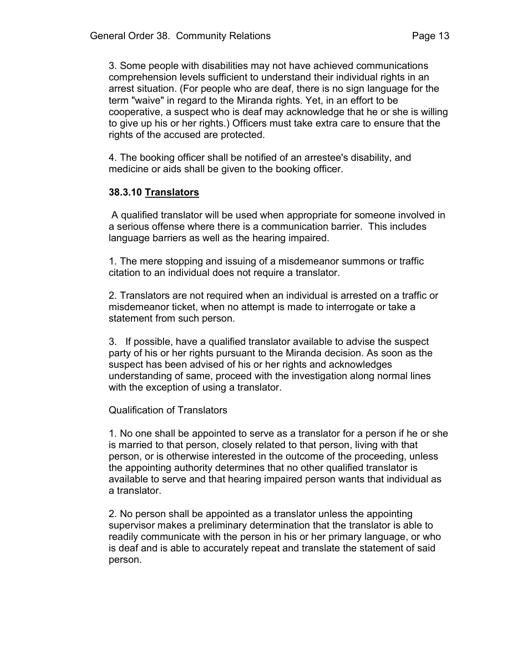3. Some people with disabilities may not have achieved communications comprehension levels sufficient to understand their individual rights in an arrest situation. (For people who are deaf, there is no sign language for the term "waive" in regard to the Miranda rights. Yet, in an effort to be cooperative, a suspect who is deaf may acknowledge that he or she is willing to give up his or her rights.) Officers must take extra care to ensure that the rights of the accused are protected.

4. The booking officer shall be notified of an arrestee's disability, and medicine or aids shall be given to the booking officer.

# 38.3.10 Translators

 A qualified translator will be used when appropriate for someone involved in a serious offense where there is a communication barrier. This includes language barriers as well as the hearing impaired.

1. The mere stopping and issuing of a misdemeanor summons or traffic citation to an individual does not require a translator.

2. Translators are not required when an individual is arrested on a traffic or misdemeanor ticket, when no attempt is made to interrogate or take a statement from such person.

3. If possible, have a qualified translator available to advise the suspect party of his or her rights pursuant to the Miranda decision. As soon as the suspect has been advised of his or her rights and acknowledges understanding of same, proceed with the investigation along normal lines with the exception of using a translator.

# Qualification of Translators

1. No one shall be appointed to serve as a translator for a person if he or she is married to that person, closely related to that person, living with that person, or is otherwise interested in the outcome of the proceeding, unless the appointing authority determines that no other qualified translator is available to serve and that hearing impaired person wants that individual as a translator.

2. No person shall be appointed as a translator unless the appointing supervisor makes a preliminary determination that the translator is able to readily communicate with the person in his or her primary language, or who is deaf and is able to accurately repeat and translate the statement of said person.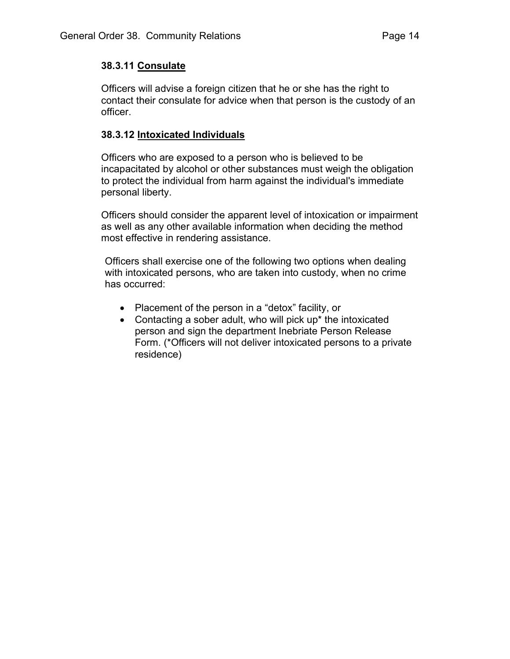# 38.3.11 Consulate

Officers will advise a foreign citizen that he or she has the right to contact their consulate for advice when that person is the custody of an officer.

# 38.3.12 Intoxicated Individuals

Officers who are exposed to a person who is believed to be incapacitated by alcohol or other substances must weigh the obligation to protect the individual from harm against the individual's immediate personal liberty.

Officers should consider the apparent level of intoxication or impairment as well as any other available information when deciding the method most effective in rendering assistance.

Officers shall exercise one of the following two options when dealing with intoxicated persons, who are taken into custody, when no crime has occurred:

- Placement of the person in a "detox" facility, or
- Contacting a sober adult, who will pick up<sup>\*</sup> the intoxicated person and sign the department Inebriate Person Release Form. (\*Officers will not deliver intoxicated persons to a private residence)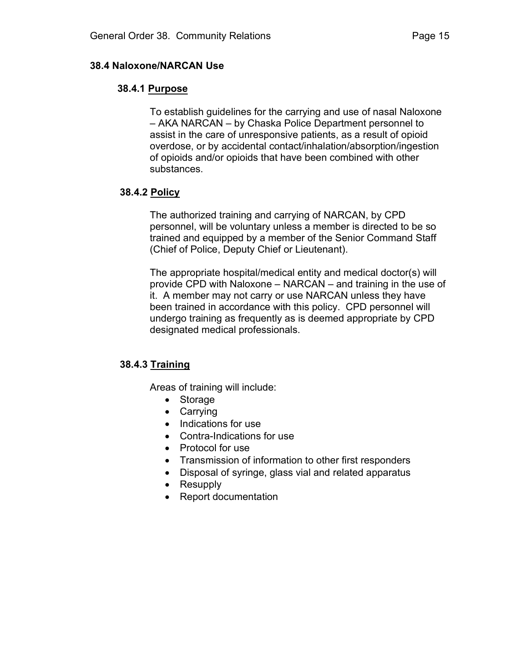## 38.4 Naloxone/NARCAN Use

# 38.4.1 Purpose

To establish guidelines for the carrying and use of nasal Naloxone – AKA NARCAN – by Chaska Police Department personnel to assist in the care of unresponsive patients, as a result of opioid overdose, or by accidental contact/inhalation/absorption/ingestion of opioids and/or opioids that have been combined with other substances.

# 38.4.2 Policy

The authorized training and carrying of NARCAN, by CPD personnel, will be voluntary unless a member is directed to be so trained and equipped by a member of the Senior Command Staff (Chief of Police, Deputy Chief or Lieutenant).

The appropriate hospital/medical entity and medical doctor(s) will provide CPD with Naloxone – NARCAN – and training in the use of it. A member may not carry or use NARCAN unless they have been trained in accordance with this policy. CPD personnel will undergo training as frequently as is deemed appropriate by CPD designated medical professionals.

# 38.4.3 Training

Areas of training will include:

- Storage
- Carrying
- Indications for use
- Contra-Indications for use
- Protocol for use
- Transmission of information to other first responders
- Disposal of syringe, glass vial and related apparatus
- Resupply
- Report documentation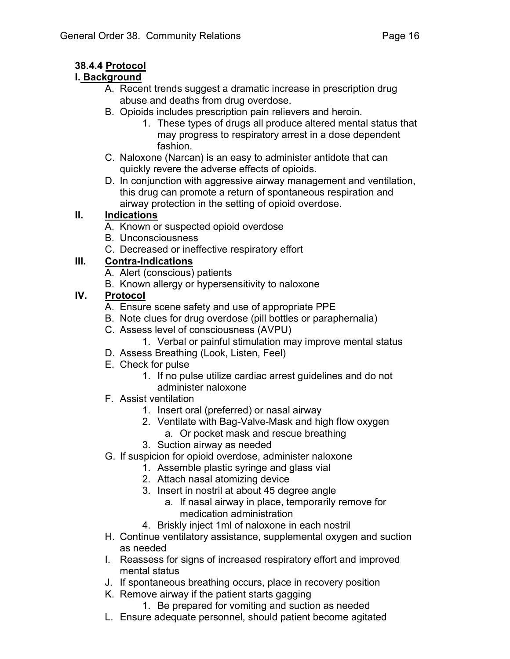# 38.4.4 Protocol

# I. Background

- A. Recent trends suggest a dramatic increase in prescription drug abuse and deaths from drug overdose.
- B. Opioids includes prescription pain relievers and heroin.
	- 1. These types of drugs all produce altered mental status that may progress to respiratory arrest in a dose dependent fashion.
- C. Naloxone (Narcan) is an easy to administer antidote that can quickly revere the adverse effects of opioids.
- D. In conjunction with aggressive airway management and ventilation, this drug can promote a return of spontaneous respiration and airway protection in the setting of opioid overdose.

# II. Indications

- A. Known or suspected opioid overdose
- B. Unconsciousness
- C. Decreased or ineffective respiratory effort

# III. Contra-Indications

- A. Alert (conscious) patients
- B. Known allergy or hypersensitivity to naloxone

# IV. Protocol

- A. Ensure scene safety and use of appropriate PPE
- B. Note clues for drug overdose (pill bottles or paraphernalia)
- C. Assess level of consciousness (AVPU)
	- 1. Verbal or painful stimulation may improve mental status
- D. Assess Breathing (Look, Listen, Feel)
- E. Check for pulse
	- 1. If no pulse utilize cardiac arrest guidelines and do not administer naloxone
- F. Assist ventilation
	- 1. Insert oral (preferred) or nasal airway
	- 2. Ventilate with Bag-Valve-Mask and high flow oxygen
		- a. Or pocket mask and rescue breathing
	- 3. Suction airway as needed
- G. If suspicion for opioid overdose, administer naloxone
	- 1. Assemble plastic syringe and glass vial
	- 2. Attach nasal atomizing device
	- 3. Insert in nostril at about 45 degree angle
		- a. If nasal airway in place, temporarily remove for medication administration
	- 4. Briskly inject 1ml of naloxone in each nostril
- H. Continue ventilatory assistance, supplemental oxygen and suction as needed
- I. Reassess for signs of increased respiratory effort and improved mental status
- J. If spontaneous breathing occurs, place in recovery position
- K. Remove airway if the patient starts gagging
	- 1. Be prepared for vomiting and suction as needed
- L. Ensure adequate personnel, should patient become agitated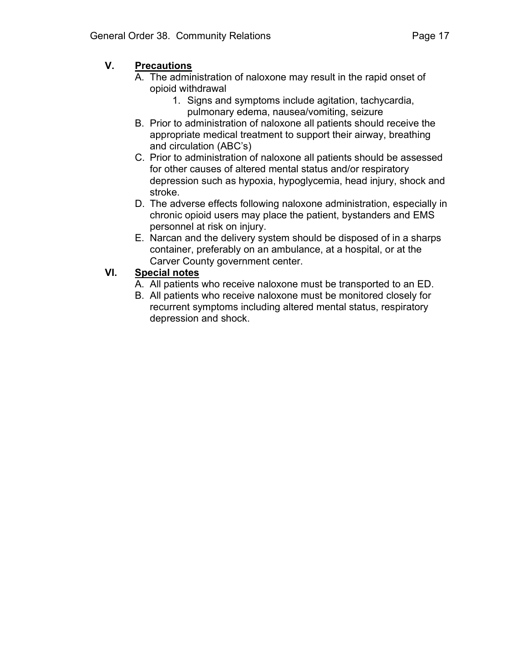# V. Precautions

- A. The administration of naloxone may result in the rapid onset of opioid withdrawal
	- 1. Signs and symptoms include agitation, tachycardia, pulmonary edema, nausea/vomiting, seizure
- B. Prior to administration of naloxone all patients should receive the appropriate medical treatment to support their airway, breathing and circulation (ABC's)
- C. Prior to administration of naloxone all patients should be assessed for other causes of altered mental status and/or respiratory depression such as hypoxia, hypoglycemia, head injury, shock and stroke.
- D. The adverse effects following naloxone administration, especially in chronic opioid users may place the patient, bystanders and EMS personnel at risk on injury.
- E. Narcan and the delivery system should be disposed of in a sharps container, preferably on an ambulance, at a hospital, or at the Carver County government center.

# VI. Special notes

- A. All patients who receive naloxone must be transported to an ED.
- B. All patients who receive naloxone must be monitored closely for recurrent symptoms including altered mental status, respiratory depression and shock.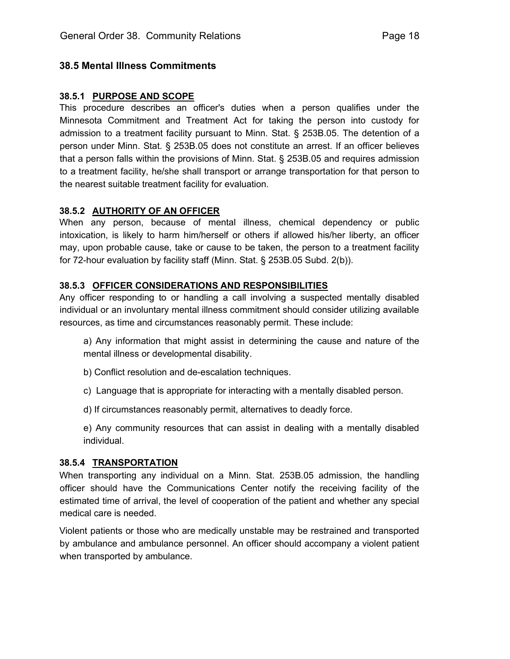## 38.5 Mental Illness Commitments

#### 38.5.1 PURPOSE AND SCOPE

This procedure describes an officer's duties when a person qualifies under the Minnesota Commitment and Treatment Act for taking the person into custody for admission to a treatment facility pursuant to Minn. Stat. § 253B.05. The detention of a person under Minn. Stat. § 253B.05 does not constitute an arrest. If an officer believes that a person falls within the provisions of Minn. Stat. § 253B.05 and requires admission to a treatment facility, he/she shall transport or arrange transportation for that person to the nearest suitable treatment facility for evaluation.

## 38.5.2 AUTHORITY OF AN OFFICER

When any person, because of mental illness, chemical dependency or public intoxication, is likely to harm him/herself or others if allowed his/her liberty, an officer may, upon probable cause, take or cause to be taken, the person to a treatment facility for 72-hour evaluation by facility staff (Minn. Stat. § 253B.05 Subd. 2(b)).

#### 38.5.3 OFFICER CONSIDERATIONS AND RESPONSIBILITIES

Any officer responding to or handling a call involving a suspected mentally disabled individual or an involuntary mental illness commitment should consider utilizing available resources, as time and circumstances reasonably permit. These include:

a) Any information that might assist in determining the cause and nature of the mental illness or developmental disability.

- b) Conflict resolution and de-escalation techniques.
- c) Language that is appropriate for interacting with a mentally disabled person.
- d) If circumstances reasonably permit, alternatives to deadly force.
- e) Any community resources that can assist in dealing with a mentally disabled individual.

#### 38.5.4 TRANSPORTATION

When transporting any individual on a Minn. Stat. 253B.05 admission, the handling officer should have the Communications Center notify the receiving facility of the estimated time of arrival, the level of cooperation of the patient and whether any special medical care is needed.

Violent patients or those who are medically unstable may be restrained and transported by ambulance and ambulance personnel. An officer should accompany a violent patient when transported by ambulance.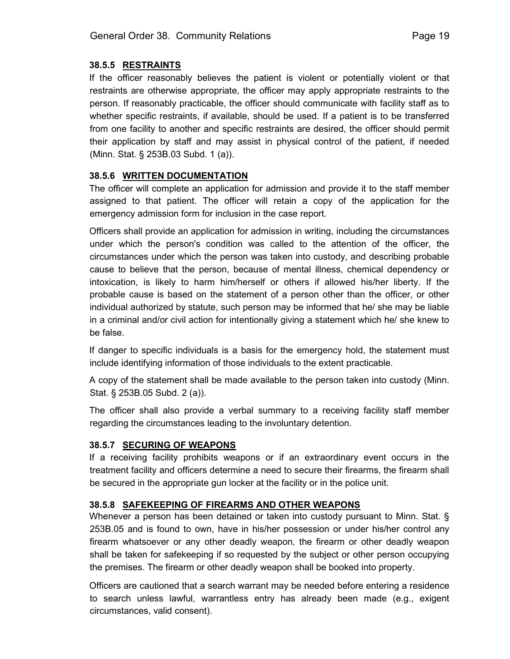#### 38.5.5 RESTRAINTS

If the officer reasonably believes the patient is violent or potentially violent or that restraints are otherwise appropriate, the officer may apply appropriate restraints to the person. If reasonably practicable, the officer should communicate with facility staff as to whether specific restraints, if available, should be used. If a patient is to be transferred from one facility to another and specific restraints are desired, the officer should permit their application by staff and may assist in physical control of the patient, if needed (Minn. Stat. § 253B.03 Subd. 1 (a)).

## 38.5.6 WRITTEN DOCUMENTATION

The officer will complete an application for admission and provide it to the staff member assigned to that patient. The officer will retain a copy of the application for the emergency admission form for inclusion in the case report.

Officers shall provide an application for admission in writing, including the circumstances under which the person's condition was called to the attention of the officer, the circumstances under which the person was taken into custody, and describing probable cause to believe that the person, because of mental illness, chemical dependency or intoxication, is likely to harm him/herself or others if allowed his/her liberty. If the probable cause is based on the statement of a person other than the officer, or other individual authorized by statute, such person may be informed that he/ she may be liable in a criminal and/or civil action for intentionally giving a statement which he/ she knew to be false.

If danger to specific individuals is a basis for the emergency hold, the statement must include identifying information of those individuals to the extent practicable.

A copy of the statement shall be made available to the person taken into custody (Minn. Stat. § 253B.05 Subd. 2 (a)).

The officer shall also provide a verbal summary to a receiving facility staff member regarding the circumstances leading to the involuntary detention.

#### 38.5.7 SECURING OF WEAPONS

If a receiving facility prohibits weapons or if an extraordinary event occurs in the treatment facility and officers determine a need to secure their firearms, the firearm shall be secured in the appropriate gun locker at the facility or in the police unit.

#### 38.5.8 SAFEKEEPING OF FIREARMS AND OTHER WEAPONS

Whenever a person has been detained or taken into custody pursuant to Minn. Stat. § 253B.05 and is found to own, have in his/her possession or under his/her control any firearm whatsoever or any other deadly weapon, the firearm or other deadly weapon shall be taken for safekeeping if so requested by the subject or other person occupying the premises. The firearm or other deadly weapon shall be booked into property.

Officers are cautioned that a search warrant may be needed before entering a residence to search unless lawful, warrantless entry has already been made (e.g., exigent circumstances, valid consent).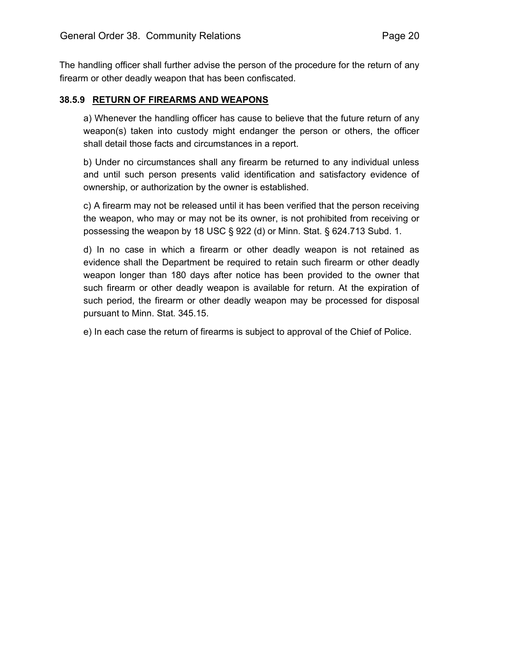The handling officer shall further advise the person of the procedure for the return of any firearm or other deadly weapon that has been confiscated.

#### 38.5.9 RETURN OF FIREARMS AND WEAPONS

a) Whenever the handling officer has cause to believe that the future return of any weapon(s) taken into custody might endanger the person or others, the officer shall detail those facts and circumstances in a report.

b) Under no circumstances shall any firearm be returned to any individual unless and until such person presents valid identification and satisfactory evidence of ownership, or authorization by the owner is established.

c) A firearm may not be released until it has been verified that the person receiving the weapon, who may or may not be its owner, is not prohibited from receiving or possessing the weapon by 18 USC § 922 (d) or Minn. Stat. § 624.713 Subd. 1.

d) In no case in which a firearm or other deadly weapon is not retained as evidence shall the Department be required to retain such firearm or other deadly weapon longer than 180 days after notice has been provided to the owner that such firearm or other deadly weapon is available for return. At the expiration of such period, the firearm or other deadly weapon may be processed for disposal pursuant to Minn. Stat. 345.15.

e) In each case the return of firearms is subject to approval of the Chief of Police.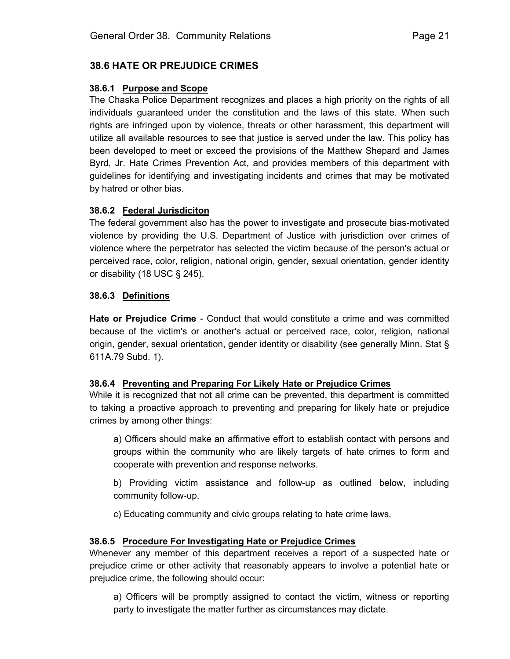# 38.6 HATE OR PREJUDICE CRIMES

#### 38.6.1 Purpose and Scope

The Chaska Police Department recognizes and places a high priority on the rights of all individuals guaranteed under the constitution and the laws of this state. When such rights are infringed upon by violence, threats or other harassment, this department will utilize all available resources to see that justice is served under the law. This policy has been developed to meet or exceed the provisions of the Matthew Shepard and James Byrd, Jr. Hate Crimes Prevention Act, and provides members of this department with guidelines for identifying and investigating incidents and crimes that may be motivated by hatred or other bias.

#### 38.6.2 Federal Jurisdiciton

The federal government also has the power to investigate and prosecute bias-motivated violence by providing the U.S. Department of Justice with jurisdiction over crimes of violence where the perpetrator has selected the victim because of the person's actual or perceived race, color, religion, national origin, gender, sexual orientation, gender identity or disability (18 USC § 245).

#### 38.6.3 Definitions

Hate or Prejudice Crime - Conduct that would constitute a crime and was committed because of the victim's or another's actual or perceived race, color, religion, national origin, gender, sexual orientation, gender identity or disability (see generally Minn. Stat § 611A.79 Subd. 1).

#### 38.6.4 Preventing and Preparing For Likely Hate or Prejudice Crimes

While it is recognized that not all crime can be prevented, this department is committed to taking a proactive approach to preventing and preparing for likely hate or prejudice crimes by among other things:

a) Officers should make an affirmative effort to establish contact with persons and groups within the community who are likely targets of hate crimes to form and cooperate with prevention and response networks.

b) Providing victim assistance and follow-up as outlined below, including community follow-up.

c) Educating community and civic groups relating to hate crime laws.

## 38.6.5 Procedure For Investigating Hate or Prejudice Crimes

Whenever any member of this department receives a report of a suspected hate or prejudice crime or other activity that reasonably appears to involve a potential hate or prejudice crime, the following should occur:

a) Officers will be promptly assigned to contact the victim, witness or reporting party to investigate the matter further as circumstances may dictate.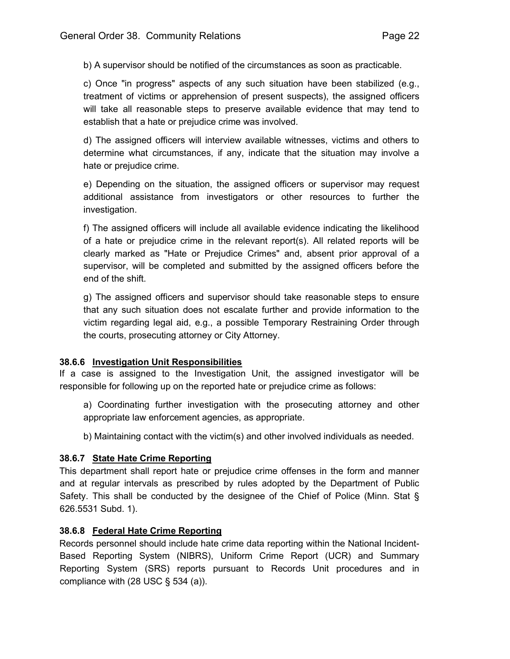b) A supervisor should be notified of the circumstances as soon as practicable.

c) Once "in progress" aspects of any such situation have been stabilized (e.g., treatment of victims or apprehension of present suspects), the assigned officers will take all reasonable steps to preserve available evidence that may tend to establish that a hate or prejudice crime was involved.

d) The assigned officers will interview available witnesses, victims and others to determine what circumstances, if any, indicate that the situation may involve a hate or prejudice crime.

e) Depending on the situation, the assigned officers or supervisor may request additional assistance from investigators or other resources to further the investigation.

f) The assigned officers will include all available evidence indicating the likelihood of a hate or prejudice crime in the relevant report(s). All related reports will be clearly marked as "Hate or Prejudice Crimes" and, absent prior approval of a supervisor, will be completed and submitted by the assigned officers before the end of the shift.

g) The assigned officers and supervisor should take reasonable steps to ensure that any such situation does not escalate further and provide information to the victim regarding legal aid, e.g., a possible Temporary Restraining Order through the courts, prosecuting attorney or City Attorney.

## 38.6.6 Investigation Unit Responsibilities

If a case is assigned to the Investigation Unit, the assigned investigator will be responsible for following up on the reported hate or prejudice crime as follows:

a) Coordinating further investigation with the prosecuting attorney and other appropriate law enforcement agencies, as appropriate.

b) Maintaining contact with the victim(s) and other involved individuals as needed.

## 38.6.7 State Hate Crime Reporting

This department shall report hate or prejudice crime offenses in the form and manner and at regular intervals as prescribed by rules adopted by the Department of Public Safety. This shall be conducted by the designee of the Chief of Police (Minn. Stat § 626.5531 Subd. 1).

## 38.6.8 Federal Hate Crime Reporting

Records personnel should include hate crime data reporting within the National Incident-Based Reporting System (NIBRS), Uniform Crime Report (UCR) and Summary Reporting System (SRS) reports pursuant to Records Unit procedures and in compliance with  $(28$  USC § 534  $(a)$ ).